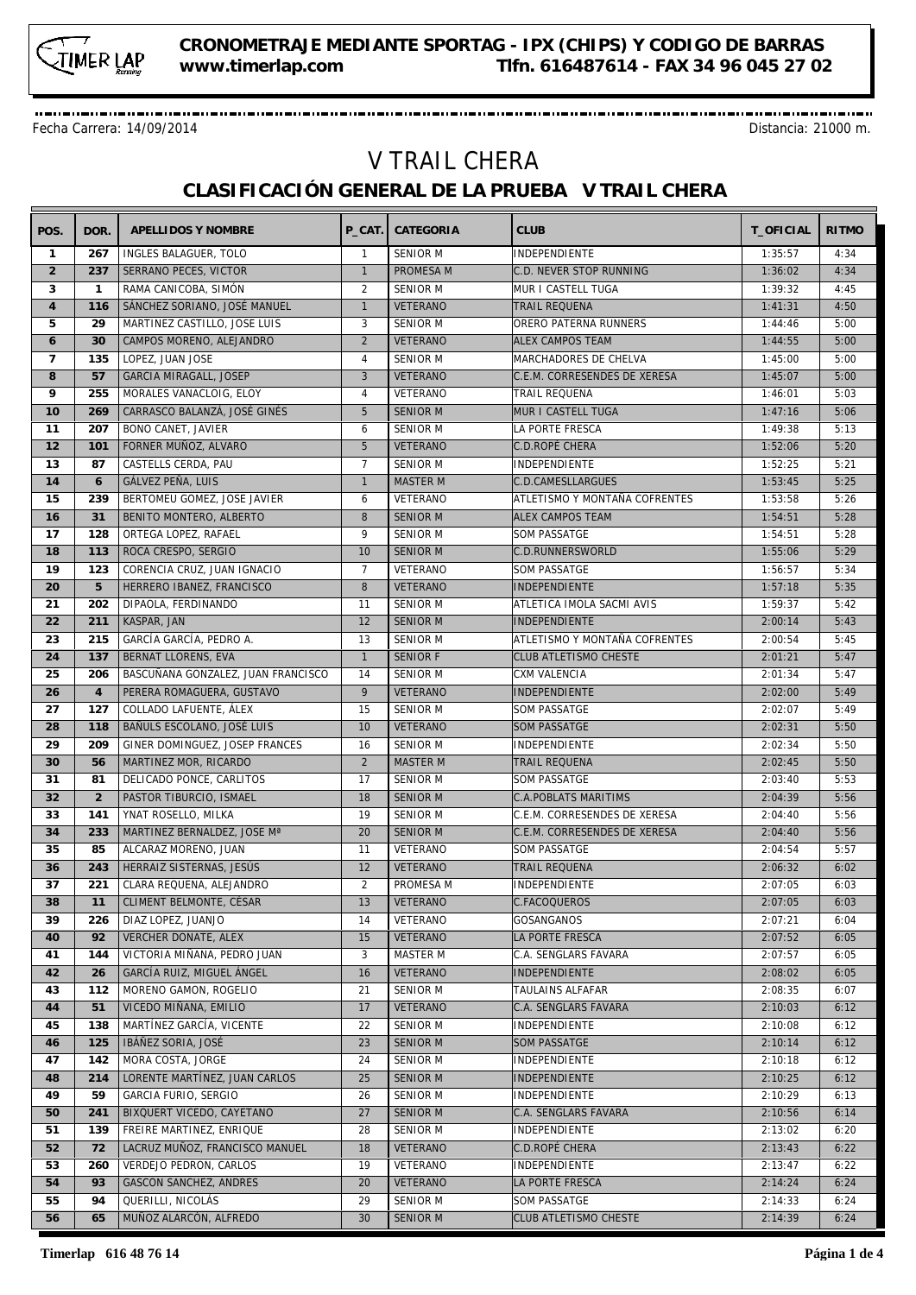

-----------------------------------

Fecha Carrera: 14/09/2014 Distancia: 21000 m.

## V TRAIL CHERA **CLASIFICACIÓN GENERAL DE LA PRUEBA V TRAIL CHERA**

| POS.           | DOR.           | APELLIDOS Y NOMBRE                                 |                | P CAT. CATEGORIA | <b>CLUB</b>                   | T_OFICIAL | <b>RITMO</b> |
|----------------|----------------|----------------------------------------------------|----------------|------------------|-------------------------------|-----------|--------------|
| $\mathbf{1}$   | 267            | INGLES BALAGUER, TOLO                              | $\mathbf{1}$   | SENIOR M         | INDEPENDIENTE                 | 1:35:57   | 4:34         |
| $\overline{2}$ | 237            | SERRANO PECES, VICTOR                              | $\mathbf{1}$   | PROMESA M        | C.D. NEVER STOP RUNNING       | 1:36:02   | 4:34         |
| 3              | $\mathbf{1}$   | RAMA CANICOBA, SIMÓN                               | 2              | <b>SENIOR M</b>  | MUR I CASTELL TUGA            | 1:39:32   | 4:45         |
| $\overline{4}$ | 116            | SÁNCHEZ SORIANO, JOSÉ MANUEL                       | $\mathbf{1}$   | <b>VETERANO</b>  | <b>TRAIL REQUENA</b>          | 1:41:31   | 4:50         |
| 5              | 29             | MARTINEZ CASTILLO, JOSE LUIS                       | 3              | SENIOR M         | ORERO PATERNA RUNNERS         | 1:44:46   | 5:00         |
| 6              | 30             | CAMPOS MORENO, ALEJANDRO                           | $\overline{2}$ | <b>VETERANO</b>  | <b>ALEX CAMPOS TEAM</b>       | 1:44:55   | 5:00         |
| $\overline{7}$ | 135            | LOPEZ, JUAN JOSE                                   | $\overline{4}$ | SENIOR M         | MARCHADORES DE CHELVA         | 1:45:00   | 5:00         |
| 8              | 57             | GARCIA MIRAGALL, JOSEP                             | 3              | <b>VETERANO</b>  | C.E.M. CORRESENDES DE XERESA  | 1:45:07   | 5:00         |
| 9              | 255            | MORALES VANACLOIG, ELOY                            | $\overline{4}$ | VETERANO         | <b>TRAIL REQUENA</b>          | 1:46:01   | 5:03         |
| 10             | 269            | CARRASCO BALANZÁ, JOSÉ GINÉS                       | 5              | <b>SENIOR M</b>  | MUR I CASTELL TUGA            | 1:47:16   | 5:06         |
| 11             | 207            | BONO CANET, JAVIER                                 | 6              | <b>SENIOR M</b>  | LA PORTE FRESCA               | 1:49:38   | 5:13         |
| 12             | 101            | FORNER MUÑOZ, ALVARO                               | 5              | <b>VETERANO</b>  | <b>C.D.ROPÉ CHERA</b>         | 1:52:06   | 5:20         |
| 13             | 87             | CASTELLS CERDA, PAU                                | $\overline{7}$ | <b>SENIOR M</b>  | INDEPENDIENTE                 | 1:52:25   | 5:21         |
| 14             | 6              | GÁLVEZ PEÑA, LUIS                                  | $\mathbf{1}$   | <b>MASTER M</b>  | C.D.CAMESLLARGUES             | 1:53:45   | 5:25         |
| 15             | 239            | BERTOMEU GOMEZ, JOSE JAVIER                        | 6              | VETERANO         | ATLETISMO Y MONTAÑA COFRENTES | 1:53:58   | 5:26         |
| 16             | 31             | BENITO MONTERO, ALBERTO                            | 8              | <b>SENIOR M</b>  | <b>ALEX CAMPOS TEAM</b>       | 1:54:51   | 5:28         |
| 17             | 128            | ORTEGA LOPEZ, RAFAEL                               | 9              | <b>SENIOR M</b>  | <b>SOM PASSATGE</b>           | 1:54:51   | 5:28         |
| 18             | 113            |                                                    | 10             | <b>SENIOR M</b>  |                               |           | 5:29         |
| 19             | 123            | ROCA CRESPO, SERGIO<br>CORENCIA CRUZ, JUAN IGNACIO | $\overline{7}$ | VETERANO         | C.D.RUNNERSWORLD              | 1:55:06   |              |
|                |                |                                                    |                |                  | <b>SOM PASSATGE</b>           | 1:56:57   | 5:34         |
| 20             | 5              | HERRERO IBANEZ, FRANCISCO                          | 8              | <b>VETERANO</b>  | <b>INDEPENDIENTE</b>          | 1:57:18   | 5:35         |
| 21             | 202            | DIPAOLA, FERDINANDO                                | 11             | <b>SENIOR M</b>  | ATLETICA IMOLA SACMI AVIS     | 1:59:37   | 5:42         |
| 22             | 211            | KASPAR, JAN                                        | 12             | <b>SENIOR M</b>  | <b>INDEPENDIENTE</b>          | 2:00:14   | 5:43         |
| 23             | 215            | GARCÍA GARCÍA, PEDRO A.                            | 13             | <b>SENIOR M</b>  | ATLETISMO Y MONTAÑA COFRENTES | 2:00:54   | 5:45         |
| 24             | 137            | <b>BERNAT LLORENS, EVA</b>                         | $\mathbf{1}$   | <b>SENIOR F</b>  | <b>CLUB ATLETISMO CHESTE</b>  | 2:01:21   | 5:47         |
| 25             | 206            | BASCUÑANA GONZALEZ, JUAN FRANCISCO                 | 14             | <b>SENIOR M</b>  | CXM VALENCIA                  | 2:01:34   | 5:47         |
| 26             | $\overline{4}$ | PERERA ROMAGUERA, GUSTAVO                          | 9              | <b>VETERANO</b>  | INDEPENDIENTE                 | 2:02:00   | 5:49         |
| 27             | 127            | COLLADO LAFUENTE, ÁLEX                             | 15             | <b>SENIOR M</b>  | <b>SOM PASSATGE</b>           | 2:02:07   | 5:49         |
| 28             | 118            | BAÑULS ESCOLANO, JOSÉ LUIS                         | 10             | <b>VETERANO</b>  | <b>SOM PASSATGE</b>           | 2:02:31   | 5:50         |
| 29             | 209            | GINER DOMINGUEZ, JOSEP FRANCES                     | 16             | <b>SENIOR M</b>  | INDEPENDIENTE                 | 2:02:34   | 5:50         |
| 30             | 56             | MARTINEZ MOR, RICARDO                              | $\overline{2}$ | <b>MASTER M</b>  | <b>TRAIL REQUENA</b>          | 2:02:45   | 5:50         |
| 31             | 81             | DELICADO PONCE, CARLITOS                           | 17             | <b>SENIOR M</b>  | <b>SOM PASSATGE</b>           | 2:03:40   | 5:53         |
| 32             | 2              | PASTOR TIBURCIO, ISMAEL                            | 18             | <b>SENIOR M</b>  | <b>C.A.POBLATS MARITIMS</b>   | 2:04:39   | 5:56         |
| 33             | 141            | YNAT ROSELLO, MILKA                                | 19             | <b>SENIOR M</b>  | C.E.M. CORRESENDES DE XERESA  | 2:04:40   | 5:56         |
| 34             | 233            | MARTINEZ BERNALDEZ, JOSE Mª                        | 20             | <b>SENIOR M</b>  | C.E.M. CORRESENDES DE XERESA  | 2:04:40   | 5:56         |
| 35             | 85             | ALCARAZ MORENO, JUAN                               | 11             | VETERANO         | <b>SOM PASSATGE</b>           | 2:04:54   | 5:57         |
| 36             | 243            | HERRAIZ SISTERNAS, JESÚS                           | 12             | <b>VETERANO</b>  | TRAIL REQUENA                 | 2:06:32   | 6:02         |
| 37             | 221            | CLARA REQUENA, ALEJANDRO                           | $\overline{2}$ | PROMESA M        | INDEPENDIENTE                 | 2:07:05   | 6:03         |
| 38             | 11             | CLIMENT BELMONTE, CÉSAR                            | 13             | VETERANO         | C.FACOQUEROS                  | 2:07:05   | 6:03         |
| 39             | 226            | DIAZ LOPEZ, JUANJO                                 | 14             | VETERANO         | GOSANGANOS                    | 2:07:21   | 6:04         |
| 40             | 92             | VERCHER DONATE, ALEX                               | 15             | VETERANO         | LA PORTE FRESCA               | 2:07:52   | 6:05         |
| 41             | 144            | VICTORIA MIÑANA, PEDRO JUAN                        | 3              | MASTER M         | C.A. SENGLARS FAVARA          | 2:07:57   | 6:05         |
| 42             | 26             | GARCÍA RUIZ, MIGUEL ÁNGEL                          | 16             | VETERANO         | <b>INDEPENDIENTE</b>          | 2:08:02   | 6:05         |
| 43             | 112            | MORENO GAMON, ROGELIO                              | 21             | SENIOR M         | TAULAINS ALFAFAR              | 2:08:35   | 6:07         |
| 44             | 51             | VICEDO MIÑANA, EMILIO                              | 17             | VETERANO         | C.A. SENGLARS FAVARA          | 2:10:03   | 6:12         |
| 45             | 138            | MARTÍNEZ GARCÍA, VICENTE                           | 22             | SENIOR M         | INDEPENDIENTE                 | 2:10:08   | 6:12         |
| 46             | 125            | IBÁÑEZ SORIA, JOSÉ                                 | 23             | <b>SENIOR M</b>  | <b>SOM PASSATGE</b>           | 2:10:14   | 6:12         |
| 47             | 142            | MORA COSTA, JORGE                                  | 24             | SENIOR M         | INDEPENDIENTE                 | 2:10:18   | 6:12         |
| 48             | 214            | LORENTE MARTÍNEZ, JUAN CARLOS                      | 25             | <b>SENIOR M</b>  | INDEPENDIENTE                 | 2:10:25   | 6:12         |
| 49             | 59             | <b>GARCIA FURIO, SERGIO</b>                        | 26             | <b>SENIOR M</b>  | INDEPENDIENTE                 | 2:10:29   | 6:13         |
| 50             | 241            | BIXQUERT VICEDO, CAYETANO                          | 27             | <b>SENIOR M</b>  | C.A. SENGLARS FAVARA          | 2:10:56   | 6:14         |
| 51             | 139            | FREIRE MARTINEZ, ENRIQUE                           | 28             | SENIOR M         | INDEPENDIENTE                 | 2:13:02   | 6:20         |
| 52             | 72             | LACRUZ MUÑOZ, FRANCISCO MANUEL                     | 18             | <b>VETERANO</b>  | C.D.ROPÉ CHERA                | 2:13:43   | 6:22         |
| 53             | 260            | VERDEJO PEDRON, CARLOS                             | 19             | VETERANO         | INDEPENDIENTE                 | 2:13:47   | 6:22         |
| 54             | 93             | GASCON SANCHEZ, ANDRES                             | 20             | <b>VETERANO</b>  | LA PORTE FRESCA               | 2:14:24   | 6:24         |
| 55             | 94             | QUERILLI, NICOLÁS                                  | 29             | <b>SENIOR M</b>  | SOM PASSATGE                  | 2:14:33   | 6:24         |
| 56             | 65             | MUÑOZ ALARCÓN, ALFREDO                             | 30             | SENIOR M         | CLUB ATLETISMO CHESTE         | 2:14:39   | 6:24         |
|                |                |                                                    |                |                  |                               |           |              |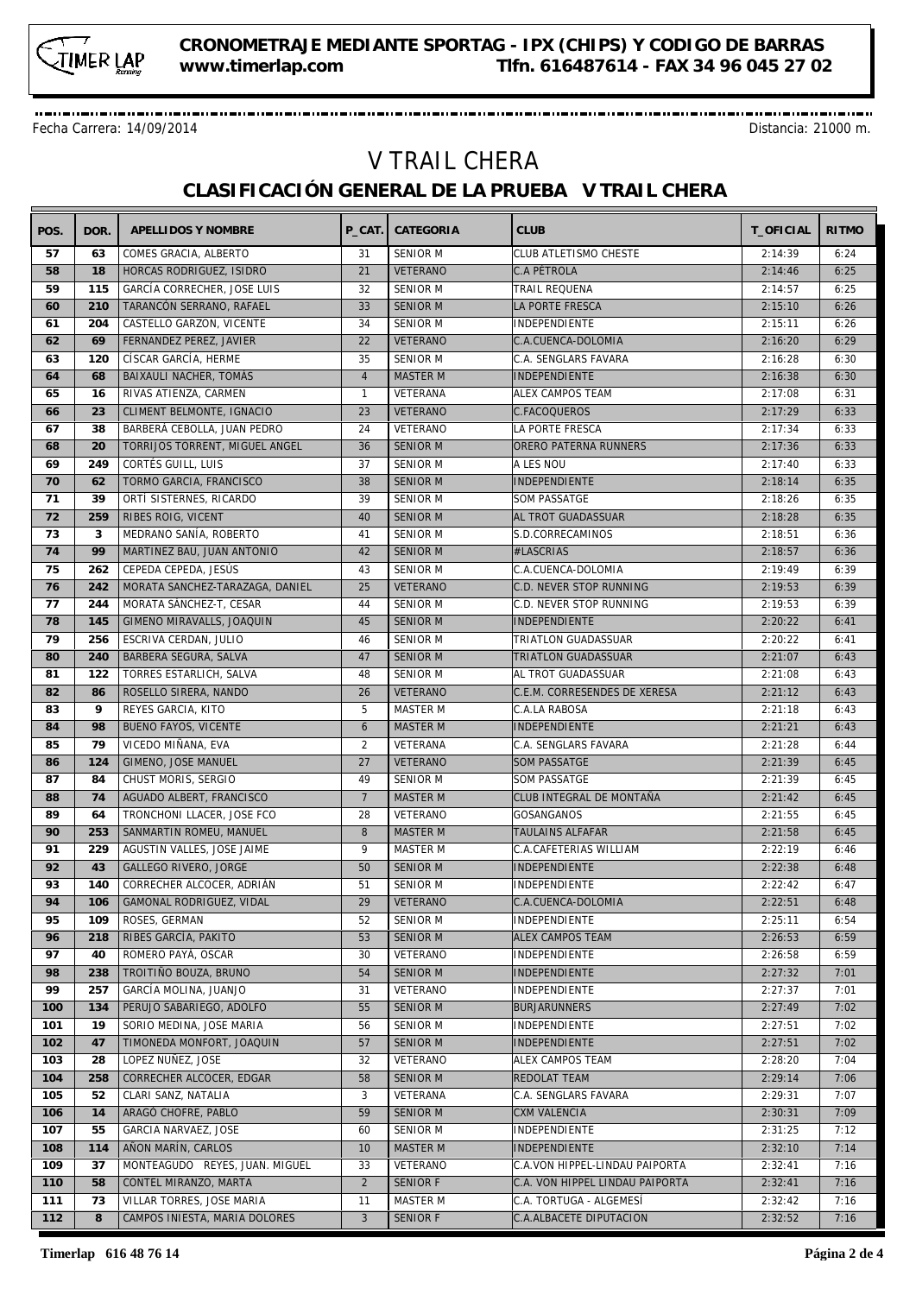

Fecha Carrera: 14/09/2014 Distancia: 21000 m.

## V TRAIL CHERA **CLASIFICACIÓN GENERAL DE LA PRUEBA V TRAIL CHERA**

-------------------------

| POS. | DOR. | APELLIDOS Y NOMBRE              | P CAT.         | CATEGORIA       | <b>CLUB</b>                     | T_OFICIAL | <b>RITMO</b> |
|------|------|---------------------------------|----------------|-----------------|---------------------------------|-----------|--------------|
| 57   | 63   | COMES GRACIA, ALBERTO           | 31             | <b>SENIOR M</b> | CLUB ATLETISMO CHESTE           | 2:14:39   | 6:24         |
| 58   | 18   | HORCAS RODRIGUEZ, ISIDRO        | 21             | <b>VETERANO</b> | C.A PÉTROLA                     | 2:14:46   | 6:25         |
| 59   | 115  | GARCÍA CORRECHER, JOSE LUIS     | 32             | <b>SENIOR M</b> | TRAIL REQUENA                   | 2:14:57   | 6:25         |
| 60   | 210  | TARANCÓN SERRANO, RAFAEL        | 33             | <b>SENIOR M</b> | LA PORTE FRESCA                 | 2:15:10   | 6:26         |
| 61   | 204  | CASTELLO GARZON, VICENTE        | 34             | <b>SENIOR M</b> | INDEPENDIENTE                   | 2:15:11   | 6:26         |
| 62   | 69   | FERNANDEZ PEREZ, JAVIER         | 22             | <b>VETERANO</b> | C.A.CUENCA-DOLOMIA              | 2:16:20   | 6:29         |
| 63   | 120  | CÍSCAR GARCÍA, HERME            | 35             | SENIOR M        | C.A. SENGLARS FAVARA            | 2:16:28   | 6:30         |
| 64   | 68   | BAIXAULI NACHER, TOMÁS          | $\overline{4}$ | <b>MASTER M</b> | <b>INDEPENDIENTE</b>            | 2:16:38   | 6:30         |
| 65   | 16   | RIVAS ATIENZA, CARMEN           | $\mathbf{1}$   | VETERANA        | <b>ALEX CAMPOS TEAM</b>         | 2:17:08   | 6:31         |
| 66   | 23   | CLIMENT BELMONTE, IGNACIO       | 23             | <b>VETERANO</b> |                                 | 2:17:29   | 6:33         |
|      |      |                                 |                |                 | C.FACOQUEROS                    |           |              |
| 67   | 38   | BARBERÁ CEBOLLA, JUAN PEDRO     | 24             | VETERANO        | LA PORTE FRESCA                 | 2:17:34   | 6:33         |
| 68   | 20   | TORRIJOS TORRENT, MIGUEL ANGEL  | 36             | SENIOR M        | ORERO PATERNA RUNNERS           | 2:17:36   | 6:33         |
| 69   | 249  | CORTÉS GUILL, LUIS              | 37             | <b>SENIOR M</b> | A LES NOU                       | 2:17:40   | 6:33         |
| 70   | 62   | TORMO GARCIA, FRANCISCO         | 38             | <b>SENIOR M</b> | INDEPENDIENTE                   | 2:18:14   | 6:35         |
| 71   | 39   | ORTÍ SISTERNES, RICARDO         | 39             | <b>SENIOR M</b> | <b>SOM PASSATGE</b>             | 2:18:26   | 6:35         |
| 72   | 259  | RIBES ROIG, VICENT              | 40             | <b>SENIOR M</b> | AL TROT GUADASSUAR              | 2:18:28   | 6:35         |
| 73   | 3    | MEDRANO SANÍA, ROBERTO          | 41             | <b>SENIOR M</b> | S.D.CORRECAMINOS                | 2:18:51   | 6:36         |
| 74   | 99   | MARTINEZ BAU, JUAN ANTONIO      | 42             | <b>SENIOR M</b> | #LASCRIAS                       | 2:18:57   | 6:36         |
| 75   | 262  | CEPEDA CEPEDA, JESÚS            | 43             | <b>SENIOR M</b> | C.A.CUENCA-DOLOMIA              | 2:19:49   | 6:39         |
| 76   | 242  | MORATA SANCHEZ-TARAZAGA, DANIEL | 25             | <b>VETERANO</b> | C.D. NEVER STOP RUNNING         | 2:19:53   | 6:39         |
| 77   | 244  | MORATA SÁNCHEZ-T, CESAR         | 44             | <b>SENIOR M</b> | C.D. NEVER STOP RUNNING         | 2:19:53   | 6:39         |
| 78   | 145  | GIMENO MIRAVALLS, JOAQUIN       | 45             | <b>SENIOR M</b> | <b>INDEPENDIENTE</b>            | 2:20:22   | 6:41         |
| 79   | 256  | ESCRIVA CERDAN, JULIO           | 46             | <b>SENIOR M</b> | TRIATLON GUADASSUAR             | 2:20:22   | 6:41         |
| 80   | 240  | BARBERA SEGURA, SALVA           | 47             | <b>SENIOR M</b> | <b>TRIATLON GUADASSUAR</b>      | 2:21:07   | 6:43         |
| 81   | 122  | TORRES ESTARLICH, SALVA         | 48             | <b>SENIOR M</b> | AL TROT GUADASSUAR              | 2:21:08   | 6:43         |
| 82   | 86   | ROSELLO SIRERA, NANDO           | 26             | <b>VETERANO</b> | C.E.M. CORRESENDES DE XERESA    | 2:21:12   | 6:43         |
| 83   | 9    | REYES GARCIA, KITO              | 5              | MASTER M        | C.A.LA RABOSA                   | 2:21:18   | 6:43         |
| 84   | 98   | <b>BUENO FAYOS, VICENTE</b>     | 6              | <b>MASTER M</b> | <b>INDEPENDIENTE</b>            | 2:21:21   | 6:43         |
| 85   | 79   | VICEDO MIÑANA, EVA              | 2              | VETERANA        | C.A. SENGLARS FAVARA            | 2:21:28   | 6:44         |
| 86   | 124  |                                 | 27             | <b>VETERANO</b> |                                 | 2:21:39   | 6:45         |
| 87   | 84   | GIMENO, JOSE MANUEL             | 49             |                 | <b>SOM PASSATGE</b>             |           |              |
|      |      | CHUST MORIS, SERGIO             |                | <b>SENIOR M</b> | <b>SOM PASSATGE</b>             | 2:21:39   | 6:45         |
| 88   | 74   | AGUADO ALBERT, FRANCISCO        | $\overline{7}$ | <b>MASTER M</b> | CLUB INTEGRAL DE MONTAÑA        | 2:21:42   | 6:45         |
| 89   | 64   | TRONCHONI LLACER, JOSE FCO      | 28             | VETERANO        | <b>GOSANGANOS</b>               | 2:21:55   | 6:45         |
| 90   | 253  | SANMARTIN ROMEU, MANUEL         | 8              | <b>MASTER M</b> | TAULAINS ALFAFAR                | 2:21:58   | 6:45         |
| 91   | 229  | AGUSTIN VALLES, JOSE JAIME      | 9              | MASTER M        | C.A.CAFETERIAS WILLIAM          | 2:22:19   | 6:46         |
| 92   | 43   | <b>GALLEGO RIVERO, JORGE</b>    | 50             | <b>SENIOR M</b> | <b>INDEPENDIENTE</b>            | 2:22:38   | 6:48         |
| 93   | 140  | CORRECHER ALCOCER, ADRIÁN       | 51             | <b>SENIOR M</b> | INDEPENDIENTE                   | 2:22:42   | 6:47         |
| 94   |      | 106 GAMONAL RODRIGUEZ, VIDAL    | 29             | VETERANO        | C.A.CUENCA-DOLOMIA              | 2:22:51   | 6:48         |
| 95   | 109  | ROSES, GERMAN                   | 52             | SENIOR M        | <b>INDEPENDIENTE</b>            | 2:25:11   | 6:54         |
| 96   | 218  | RIBES GARCÍA, PAKITO            | 53             | <b>SENIOR M</b> | <b>ALEX CAMPOS TEAM</b>         | 2:26:53   | 6:59         |
| 97   | 40   | ROMERO PAYÁ, OSCAR              | 30             | VETERANO        | INDEPENDIENTE                   | 2:26:58   | 6:59         |
| 98   | 238  | TROITIÑO BOUZA, BRUNO           | 54             | SENIOR M        | INDEPENDIENTE                   | 2:27:32   | 7:01         |
| 99   | 257  | GARCÍA MOLINA, JUANJO           | 31             | VETERANO        | INDEPENDIENTE                   | 2:27:37   | 7:01         |
| 100  | 134  | PERUJO SABARIEGO, ADOLFO        | 55             | <b>SENIOR M</b> | <b>BURJARUNNERS</b>             | 2:27:49   | 7:02         |
| 101  | 19   | SORIO MEDINA, JOSE MARIA        | 56             | SENIOR M        | INDEPENDIENTE                   | 2:27:51   | 7:02         |
| 102  | 47   | TIMONEDA MONFORT, JOAQUIN       | 57             | <b>SENIOR M</b> | INDEPENDIENTE                   | 2:27:51   | 7:02         |
| 103  | 28   | LOPEZ NUÑEZ, JOSE               | 32             | VETERANO        | ALEX CAMPOS TEAM                | 2:28:20   | 7:04         |
| 104  | 258  | CORRECHER ALCOCER, EDGAR        | 58             | <b>SENIOR M</b> | REDOLAT TEAM                    | 2:29:14   | 7:06         |
| 105  | 52   | CLARI SANZ, NATALIA             | 3              | VETERANA        | C.A. SENGLARS FAVARA            | 2:29:31   | 7:07         |
| 106  | 14   | ARAGÓ CHOFRE, PABLO             | 59             | <b>SENIOR M</b> | CXM VALENCIA                    | 2:30:31   | 7:09         |
| 107  | 55   | GARCIA NARVAEZ, JOSE            | 60             | <b>SENIOR M</b> | INDEPENDIENTE                   | 2:31:25   | 7:12         |
| 108  | 114  | AÑON MARÍN, CARLOS              | 10             | <b>MASTER M</b> | INDEPENDIENTE                   | 2:32:10   | 7:14         |
| 109  | 37   | MONTEAGUDO REYES, JUAN. MIGUEL  | 33             | VETERANO        | C.A.VON HIPPEL-LINDAU PAIPORTA  | 2:32:41   | 7:16         |
| 110  | 58   | CONTEL MIRANZO, MARTA           | 2              | <b>SENIOR F</b> | C.A. VON HIPPEL LINDAU PAIPORTA | 2:32:41   | 7:16         |
| 111  | 73   | VILLAR TORRES, JOSE MARIA       | 11             | MASTER M        | C.A. TORTUGA - ALGEMESÍ         | 2:32:42   | 7:16         |
| 112  | 8    | CAMPOS INIESTA, MARIA DOLORES   | 3              | <b>SENIOR F</b> | C.A.ALBACETE DIPUTACION         | 2:32:52   | 7:16         |
|      |      |                                 |                |                 |                                 |           |              |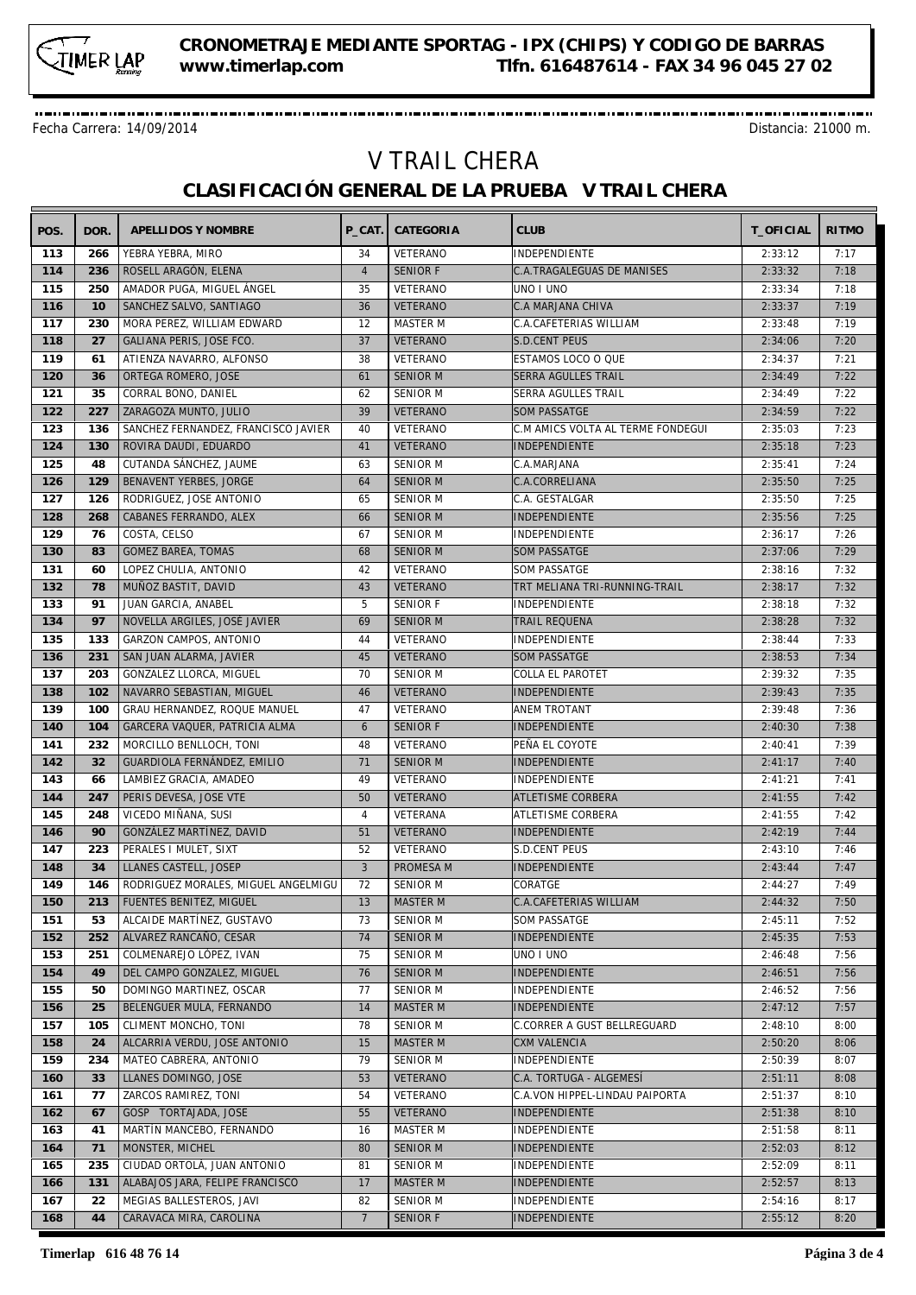

Fecha Carrera: 14/09/2014 Distancia: 21000 m.

## V TRAIL CHERA **CLASIFICACIÓN GENERAL DE LA PRUEBA V TRAIL CHERA**

| POS. | DOR. | APELLIDOS Y NOMBRE                  | P CAT.         | CATEGORIA       | <b>CLUB</b>                       | T_OFICIAL | <b>RITMO</b> |
|------|------|-------------------------------------|----------------|-----------------|-----------------------------------|-----------|--------------|
| 113  | 266  | YEBRA YEBRA, MIRO                   | 34             | VETERANO        | INDEPENDIENTE                     | 2:33:12   | 7:17         |
| 114  | 236  | ROSELL ARAGÓN, ELENA                | $\overline{4}$ | <b>SENIOR F</b> | C.A.TRAGALEGUAS DE MANISES        | 2:33:32   | 7:18         |
| 115  | 250  | AMADOR PUGA, MIGUEL ÁNGEL           | 35             | VETERANO        | UNO I UNO                         | 2:33:34   | 7:18         |
| 116  | 10   | SANCHEZ SALVO, SANTIAGO             | 36             | <b>VETERANO</b> | <b>C.A MARJANA CHIVA</b>          | 2:33:37   | 7:19         |
| 117  | 230  | MORA PEREZ, WILLIAM EDWARD          | 12             | MASTER M        | C.A.CAFETERIAS WILLIAM            | 2:33:48   | 7:19         |
| 118  | 27   | GALIANA PERIS, JOSE FCO.            | 37             | <b>VETERANO</b> | <b>S.D.CENT PEUS</b>              | 2:34:06   | 7:20         |
| 119  | 61   | ATIENZA NAVARRO, ALFONSO            | 38             | VETERANO        | ESTAMOS LOCO O QUE                | 2:34:37   | 7:21         |
| 120  | 36   | ORTEGA ROMERO, JOSE                 | 61             | <b>SENIOR M</b> | <b>SERRA AGULLES TRAIL</b>        | 2:34:49   | 7:22         |
| 121  | 35   | CORRAL BONO, DANIEL                 | 62             | <b>SENIOR M</b> | <b>SERRA AGULLES TRAIL</b>        | 2:34:49   | 7:22         |
| 122  | 227  | ZARAGOZA MUNTO, JULIO               | 39             | VETERANO        | <b>SOM PASSATGE</b>               | 2:34:59   | 7:22         |
| 123  | 136  | SANCHEZ FERNANDEZ, FRANCISCO JAVIER | 40             | VETERANO        | C.M AMICS VOLTA AL TERME FONDEGUI | 2:35:03   | 7:23         |
| 124  | 130  | ROVIRA DAUDI, EDUARDO               | 41             | <b>VETERANO</b> | <b>INDEPENDIENTE</b>              | 2:35:18   | 7:23         |
| 125  | 48   | CUTANDA SÁNCHEZ, JAUME              | 63             | <b>SENIOR M</b> | C.A.MARJANA                       | 2:35:41   | 7:24         |
| 126  | 129  | BENAVENT YERBES, JORGE              | 64             | <b>SENIOR M</b> | C.A.CORRELIANA                    | 2:35:50   | 7:25         |
|      |      |                                     |                |                 |                                   |           |              |
| 127  | 126  | RODRIGUEZ, JOSE ANTONIO             | 65             | <b>SENIOR M</b> | C.A. GESTALGAR                    | 2:35:50   | 7:25         |
| 128  | 268  | CABANES FERRANDO, ALEX              | 66             | <b>SENIOR M</b> | INDEPENDIENTE                     | 2:35:56   | 7:25         |
| 129  | 76   | COSTA, CELSO                        | 67             | <b>SENIOR M</b> | INDEPENDIENTE                     | 2:36:17   | 7:26         |
| 130  | 83   | <b>GOMEZ BAREA, TOMAS</b>           | 68             | <b>SENIOR M</b> | <b>SOM PASSATGE</b>               | 2:37:06   | 7:29         |
| 131  | 60   | LOPEZ CHULIA, ANTONIO               | 42             | VETERANO        | <b>SOM PASSATGE</b>               | 2:38:16   | 7:32         |
| 132  | 78   | MUÑOZ BASTIT, DAVID                 | 43             | <b>VETERANO</b> | TRT MELIANA TRI-RUNNING-TRAIL     | 2:38:17   | 7:32         |
| 133  | 91   | JUAN GARCIA, ANABEL                 | 5              | <b>SENIOR F</b> | INDEPENDIENTE                     | 2:38:18   | 7:32         |
| 134  | 97   | NOVELLA ARGILES, JOSÉ JAVIER        | 69             | <b>SENIOR M</b> | <b>TRAIL REQUENA</b>              | 2:38:28   | 7:32         |
| 135  | 133  | GARZON CAMPOS, ANTONIO              | 44             | VETERANO        | INDEPENDIENTE                     | 2:38:44   | 7:33         |
| 136  | 231  | SAN JUAN ALARMA, JAVIER             | 45             | <b>VETERANO</b> | <b>SOM PASSATGE</b>               | 2:38:53   | 7:34         |
| 137  | 203  | GONZALEZ LLORCA, MIGUEL             | 70             | <b>SENIOR M</b> | COLLA EL PAROTET                  | 2:39:32   | 7:35         |
| 138  | 102  | NAVARRO SEBASTIAN, MIGUEL           | 46             | <b>VETERANO</b> | INDEPENDIENTE                     | 2:39:43   | 7:35         |
| 139  | 100  | GRAU HERNANDEZ, ROQUE MANUEL        | 47             | VETERANO        | ANEM TROTANT                      | 2:39:48   | 7:36         |
| 140  | 104  | GARCERA VAQUER, PATRICIA ALMA       | 6              | <b>SENIOR F</b> | <b>INDEPENDIENTE</b>              | 2:40:30   | 7:38         |
| 141  | 232  | MORCILLO BENLLOCH, TONI             | 48             | VETERANO        | PEÑA EL COYOTE                    | 2:40:41   | 7:39         |
| 142  | 32   | GUARDIOLA FERNÁNDEZ, EMILIO         | 71             | <b>SENIOR M</b> | INDEPENDIENTE                     | 2:41:17   | 7:40         |
| 143  | 66   | LAMBIEZ GRACIA, AMADEO              | 49             | VETERANO        | INDEPENDIENTE                     | 2:41:21   | 7:41         |
| 144  | 247  | PERIS DEVESA, JOSE VTE              | 50             | <b>VETERANO</b> | <b>ATLETISME CORBERA</b>          | 2:41:55   | 7:42         |
| 145  | 248  | VICEDO MIÑANA, SUSI                 | 4              | VETERANA        | ATLETISME CORBERA                 | 2:41:55   | 7:42         |
| 146  | 90   | GONZÁLEZ MARTÍNEZ, DAVID            | 51             | <b>VETERANO</b> | INDEPENDIENTE                     | 2:42:19   | 7:44         |
| 147  | 223  | PERALES I MULET, SIXT               | 52             | VETERANO        | S.D.CENT PEUS                     | 2:43:10   | 7:46         |
| 148  | 34   | LLANES CASTELL, JOSEP               | $\mathbf{3}$   | PROMESA M       | INDEPENDIENTE                     | 2:43:44   | 7:47         |
| 149  | 146  | RODRIGUEZ MORALES, MIGUEL ANGELMIGU | 72             | <b>SENIOR M</b> | CORATGE                           | 2:44:27   | 7:49         |
| 150  |      | 213   FUENTES BENITEZ, MIGUEL       | 13             | MASTER M        | C.A.CAFETERIAS WILLIAM            | 2:44:32   | 7:50         |
| 151  | 53   | ALCAIDE MARTÍNEZ. GUSTAVO           | 73             | <b>SENIOR M</b> | <b>SOM PASSATGE</b>               | 2:45:11   | 7:52         |
| 152  | 252  | ALVAREZ RANCAÑO, CESAR              | 74             | <b>SENIOR M</b> | <b>INDEPENDIENTE</b>              | 2:45:35   | 7:53         |
| 153  | 251  | COLMENAREJO LÓPEZ, IVAN             | 75             | SENIOR M        | UNO I UNO                         | 2:46:48   | 7:56         |
| 154  | 49   | DEL CAMPO GONZALEZ, MIGUEL          | 76             | <b>SENIOR M</b> | <b>INDEPENDIENTE</b>              | 2:46:51   | 7:56         |
| 155  | 50   | DOMINGO MARTINEZ, OSCAR             | 77             | SENIOR M        | INDEPENDIENTE                     | 2:46:52   | 7:56         |
| 156  | 25   | BELENGUER MULA, FERNANDO            | 14             | <b>MASTER M</b> | <b>INDEPENDIENTE</b>              | 2:47:12   | 7:57         |
| 157  | 105  | CLIMENT MONCHO, TONI                | 78             | SENIOR M        | C.CORRER A GUST BELLREGUARD       | 2:48:10   | 8:00         |
|      |      |                                     |                |                 |                                   |           |              |
| 158  | 24   | ALCARRIA VERDU, JOSE ANTONIO        | 15             | <b>MASTER M</b> | <b>CXM VALENCIA</b>               | 2:50:20   | 8:06         |
| 159  | 234  | MATEO CABRERA, ANTONIO              | 79             | SENIOR M        | INDEPENDIENTE                     | 2:50:39   | 8:07         |
| 160  | 33   | LLANES DOMINGO, JOSE                | 53             | <b>VETERANO</b> | C.A. TORTUGA - ALGEMESÍ           | 2:51:11   | 8:08         |
| 161  | 77   | ZARCOS RAMIREZ, TONI                | 54             | VETERANO        | C.A.VON HIPPEL-LINDAU PAIPORTA    | 2:51:37   | 8:10         |
| 162  | 67   | GOSP TORTAJADA, JOSE                | 55             | VETERANO        | INDEPENDIENTE                     | 2:51:38   | 8:10         |
| 163  | 41   | MARTÍN MANCEBO, FERNANDO            | 16             | MASTER M        | INDEPENDIENTE                     | 2:51:58   | 8:11         |
| 164  | 71   | MONSTER, MICHEL                     | 80             | <b>SENIOR M</b> | <b>INDEPENDIENTE</b>              | 2:52:03   | 8:12         |
| 165  | 235  | CIUDAD ORTOLÀ, JUAN ANTONIO         | 81             | SENIOR M        | INDEPENDIENTE                     | 2:52:09   | 8:11         |
| 166  | 131  | ALABAJOS JARA, FELIPE FRANCISCO     | 17             | <b>MASTER M</b> | INDEPENDIENTE                     | 2:52:57   | 8:13         |
| 167  | 22   | MEGIAS BALLESTEROS, JAVI            | 82             | <b>SENIOR M</b> | INDEPENDIENTE                     | 2:54:16   | 8:17         |
| 168  | 44   | CARAVACA MIRA, CAROLINA             | $\overline{7}$ | <b>SENIOR F</b> | INDEPENDIENTE                     | 2:55:12   | 8:20         |